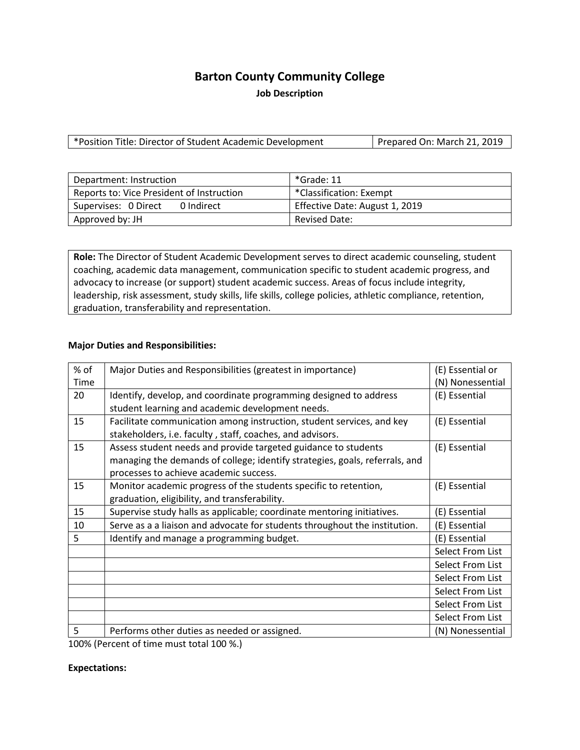# **Barton County Community College**

**Job Description**

\*Position Title: Director of Student Academic Development | Prepared On: March 21, 2019

| Department: Instruction                   | *Grade: 11                     |
|-------------------------------------------|--------------------------------|
| Reports to: Vice President of Instruction | *Classification: Exempt        |
| Supervises: 0 Direct<br>0 Indirect        | Effective Date: August 1, 2019 |
| Approved by: JH                           | <b>Revised Date:</b>           |

**Role:** The Director of Student Academic Development serves to direct academic counseling, student coaching, academic data management, communication specific to student academic progress, and advocacy to increase (or support) student academic success. Areas of focus include integrity, leadership, risk assessment, study skills, life skills, college policies, athletic compliance, retention, graduation, transferability and representation.

### **Major Duties and Responsibilities:**

| % of    | Major Duties and Responsibilities (greatest in importance)                                                                                                                                                                                                                                    | (E) Essential or |
|---------|-----------------------------------------------------------------------------------------------------------------------------------------------------------------------------------------------------------------------------------------------------------------------------------------------|------------------|
| Time    |                                                                                                                                                                                                                                                                                               | (N) Nonessential |
| 20      | Identify, develop, and coordinate programming designed to address                                                                                                                                                                                                                             | (E) Essential    |
|         | student learning and academic development needs.                                                                                                                                                                                                                                              |                  |
| 15      | Facilitate communication among instruction, student services, and key                                                                                                                                                                                                                         | (E) Essential    |
|         | stakeholders, i.e. faculty, staff, coaches, and advisors.                                                                                                                                                                                                                                     |                  |
| 15      | Assess student needs and provide targeted guidance to students                                                                                                                                                                                                                                | (E) Essential    |
|         | managing the demands of college; identify strategies, goals, referrals, and                                                                                                                                                                                                                   |                  |
|         | processes to achieve academic success.                                                                                                                                                                                                                                                        |                  |
| 15      | Monitor academic progress of the students specific to retention,                                                                                                                                                                                                                              | (E) Essential    |
|         | graduation, eligibility, and transferability.                                                                                                                                                                                                                                                 |                  |
| 15      | Supervise study halls as applicable; coordinate mentoring initiatives.                                                                                                                                                                                                                        | (E) Essential    |
| 10      | Serve as a a liaison and advocate for students throughout the institution.                                                                                                                                                                                                                    | (E) Essential    |
| 5       | Identify and manage a programming budget.                                                                                                                                                                                                                                                     | (E) Essential    |
|         |                                                                                                                                                                                                                                                                                               | Select From List |
|         |                                                                                                                                                                                                                                                                                               | Select From List |
|         |                                                                                                                                                                                                                                                                                               | Select From List |
|         |                                                                                                                                                                                                                                                                                               | Select From List |
|         |                                                                                                                                                                                                                                                                                               | Select From List |
|         |                                                                                                                                                                                                                                                                                               | Select From List |
| 5       | Performs other duties as needed or assigned.                                                                                                                                                                                                                                                  | (N) Nonessential |
| 1000/ln | $\frac{1}{2}$ and $\frac{1}{2}$ at $\frac{1}{2}$ and $\frac{1}{2}$ and $\frac{1}{2}$ and $\frac{1}{2}$ and $\frac{1}{2}$ and $\frac{1}{2}$ and $\frac{1}{2}$ and $\frac{1}{2}$ and $\frac{1}{2}$ and $\frac{1}{2}$ and $\frac{1}{2}$ and $\frac{1}{2}$ and $\frac{1}{2}$ and $\frac{1}{2}$ an |                  |

100% (Percent of time must total 100 %.)

#### **Expectations:**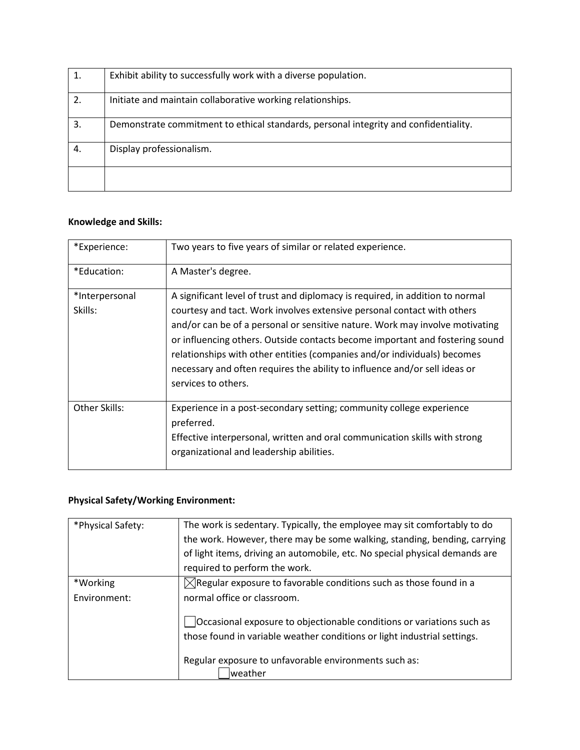|    | Exhibit ability to successfully work with a diverse population.                      |
|----|--------------------------------------------------------------------------------------|
| 2. | Initiate and maintain collaborative working relationships.                           |
| 3. | Demonstrate commitment to ethical standards, personal integrity and confidentiality. |
| 4. | Display professionalism.                                                             |
|    |                                                                                      |

## **Knowledge and Skills:**

| *Experience:              | Two years to five years of similar or related experience.                                                                                                                                                                                                                                                                                                                                                                                                                                                 |
|---------------------------|-----------------------------------------------------------------------------------------------------------------------------------------------------------------------------------------------------------------------------------------------------------------------------------------------------------------------------------------------------------------------------------------------------------------------------------------------------------------------------------------------------------|
| *Education:               | A Master's degree.                                                                                                                                                                                                                                                                                                                                                                                                                                                                                        |
| *Interpersonal<br>Skills: | A significant level of trust and diplomacy is required, in addition to normal<br>courtesy and tact. Work involves extensive personal contact with others<br>and/or can be of a personal or sensitive nature. Work may involve motivating<br>or influencing others. Outside contacts become important and fostering sound<br>relationships with other entities (companies and/or individuals) becomes<br>necessary and often requires the ability to influence and/or sell ideas or<br>services to others. |
| Other Skills:             | Experience in a post-secondary setting; community college experience<br>preferred.<br>Effective interpersonal, written and oral communication skills with strong<br>organizational and leadership abilities.                                                                                                                                                                                                                                                                                              |

## **Physical Safety/Working Environment:**

| *Physical Safety: | The work is sedentary. Typically, the employee may sit comfortably to do<br>the work. However, there may be some walking, standing, bending, carrying<br>of light items, driving an automobile, etc. No special physical demands are |
|-------------------|--------------------------------------------------------------------------------------------------------------------------------------------------------------------------------------------------------------------------------------|
|                   | required to perform the work.                                                                                                                                                                                                        |
| *Working          | $\boxtimes$ Regular exposure to favorable conditions such as those found in a                                                                                                                                                        |
| Environment:      | normal office or classroom.                                                                                                                                                                                                          |
|                   | Occasional exposure to objectionable conditions or variations such as<br>those found in variable weather conditions or light industrial settings.                                                                                    |
|                   | Regular exposure to unfavorable environments such as:<br>lweather                                                                                                                                                                    |